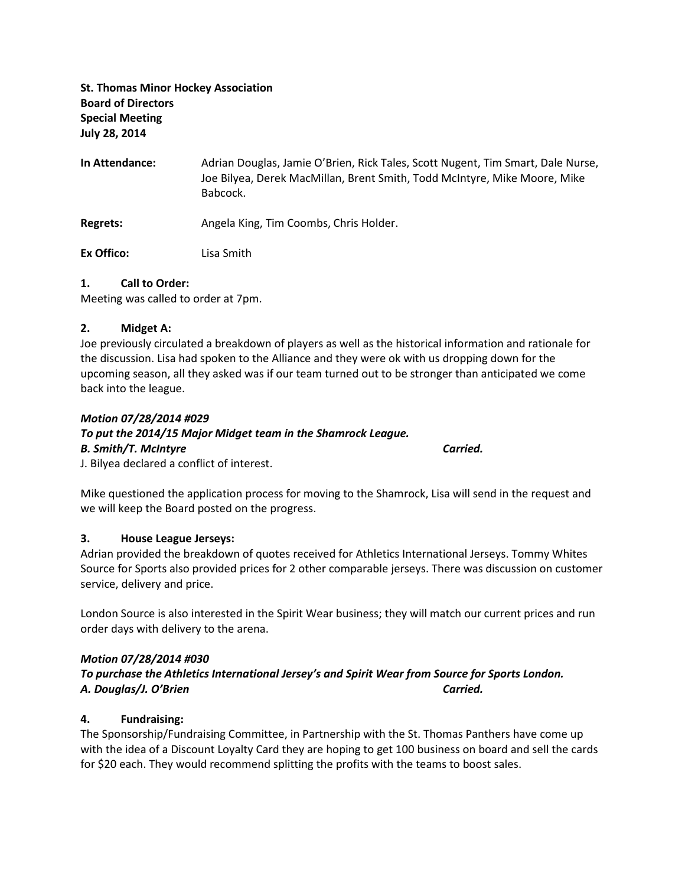# St. Thomas Minor Hockey Association Board of Directors Special Meeting July 28, 2014

In Attendance: Adrian Douglas, Jamie O'Brien, Rick Tales, Scott Nugent, Tim Smart, Dale Nurse, Joe Bilyea, Derek MacMillan, Brent Smith, Todd McIntyre, Mike Moore, Mike Babcock.

Regrets: Angela King, Tim Coombs, Chris Holder.

Ex Offico: Lisa Smith

#### 1. Call to Order:

Meeting was called to order at 7pm.

#### 2. Midget A:

Joe previously circulated a breakdown of players as well as the historical information and rationale for the discussion. Lisa had spoken to the Alliance and they were ok with us dropping down for the upcoming season, all they asked was if our team turned out to be stronger than anticipated we come back into the league.

#### Motion 07/28/2014 #029

## To put the 2014/15 Major Midget team in the Shamrock League.

#### B. Smith/T. McIntyre Carried.

J. Bilyea declared a conflict of interest.

Mike questioned the application process for moving to the Shamrock, Lisa will send in the request and we will keep the Board posted on the progress.

## 3. House League Jerseys:

Adrian provided the breakdown of quotes received for Athletics International Jerseys. Tommy Whites Source for Sports also provided prices for 2 other comparable jerseys. There was discussion on customer service, delivery and price.

London Source is also interested in the Spirit Wear business; they will match our current prices and run order days with delivery to the arena.

## Motion 07/28/2014 #030

To purchase the Athletics International Jersey's and Spirit Wear from Source for Sports London. A. Douglas/J. O'Brien Carried.

## 4. Fundraising:

The Sponsorship/Fundraising Committee, in Partnership with the St. Thomas Panthers have come up with the idea of a Discount Loyalty Card they are hoping to get 100 business on board and sell the cards for \$20 each. They would recommend splitting the profits with the teams to boost sales.